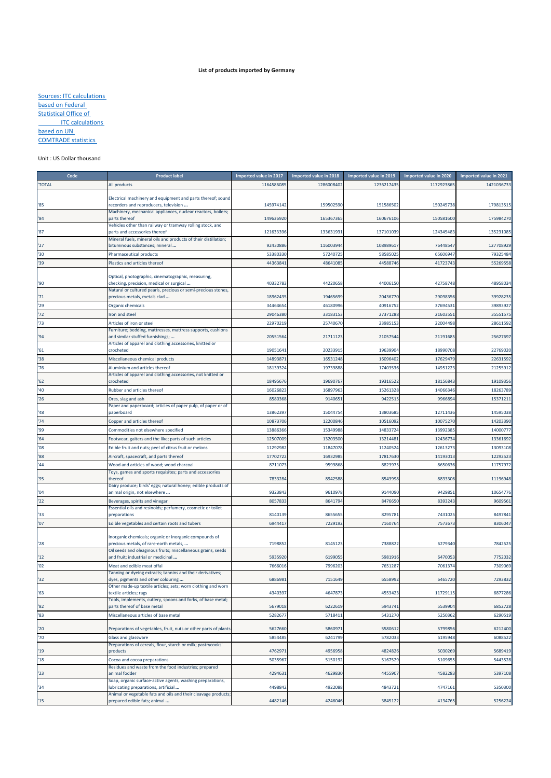## **List of products imported by Germany**

Sources: ITC calculations based on Federal **Statistical Office of ITC** calculations based on UN COMTRADE statistics

## Unit : US Dollar thousand

| Code         | <b>Product label</b>                                                                                      | Imported value in 2017 | Imported value in 2018 | Imported value in 2019 | Imported value in 2020 | Imported value in 2021 |
|--------------|-----------------------------------------------------------------------------------------------------------|------------------------|------------------------|------------------------|------------------------|------------------------|
| <b>TOTAL</b> | All products                                                                                              | 116458608              | 1286008402             | 1236217435             | 117292386              | 1421036733             |
|              |                                                                                                           |                        |                        |                        |                        |                        |
| '85          | Electrical machinery and equipment and parts thereof; sound<br>recorders and reproducers, television      | 145974142              | 159502590              | 151586502              | 150245738              | 179813515              |
|              | Machinery, mechanical appliances, nuclear reactors, boilers;                                              |                        |                        |                        |                        |                        |
| '84          | parts thereof                                                                                             | 149636920              | 165367365              | 160676106              | 150581600              | 175984270              |
|              | Vehicles other than railway or tramway rolling stock, and                                                 |                        |                        |                        |                        |                        |
| '87          | parts and accessories thereof<br>Mineral fuels, mineral oils and products of their distillation;          | 121633396              | 133631931              | 137101039              | 124345483              | 135231085              |
| 27           | bituminous substances; mineral                                                                            | 92430886               | 116003944              | 108989617              | 76448547               | 127708929              |
| '30          | Pharmaceutical products                                                                                   | 53380330               | 57240725               | 58585025               | 65606947               | 79325484               |
| '39          | Plastics and articles thereof                                                                             | 4436384                | 48641085               | 44588746               | 41723743               | 55269558               |
|              |                                                                                                           |                        |                        |                        |                        |                        |
|              | Optical, photographic, cinematographic, measuring,                                                        |                        |                        |                        |                        |                        |
| '90          | checking, precision, medical or surgical<br>Natural or cultured pearls, precious or semi-precious stones, | 40332783               | 44220658               | 44006150               | 42758748               | 48958034               |
| '71          | precious metals, metals clad                                                                              | 18962435               | 19465699               | 20436770               | 29098356               | 39928235               |
| '29          | Organic chemicals                                                                                         | 34464654               | 46180996               | 40916752               | 37694531               | 39893927               |
| 72           | Iron and steel                                                                                            | 2904638                | 33183153               | 27371288               | 21603551               | 35551575               |
| '73          | Articles of iron or steel                                                                                 | 22970219               | 25740670               | 23985153               | 22004498               | 28611592               |
|              | Furniture; bedding, mattresses, mattress supports, cushions                                               |                        |                        |                        |                        |                        |
| '94          | and similar stuffed furnishings;                                                                          | 20551564               | 21711123               | 21057544               | 21191685               | 25627697               |
| 51           | Articles of apparel and clothing accessories, knitted or<br>crocheted                                     | 1905164                | 20233915               | 19639904               | 18990708               | 22769020               |
| '38          | Miscellaneous chemical products                                                                           | 1489387                | 16531248               | 16096402               | 17629479               | 22631592               |
| '76          | Aluminium and articles thereof                                                                            | 1813932                | 19739888               | 17403536               | 14951223               | 21255912               |
|              | Articles of apparel and clothing accessories, not knitted or                                              |                        |                        |                        |                        |                        |
| '62          | crocheted                                                                                                 | 18495676               | 19690767               | 19316522               | 18156843               | 19109356               |
| '40          | Rubber and articles thereof                                                                               | 16026823               | 16897963               | 15261328               | 14066346               | 18263789               |
| '26          | Ores, slag and ash                                                                                        | 8580368                | 9140651                | 9422515                | 9966894                | 15371211               |
|              | Paper and paperboard; articles of paper pulp, of paper or of                                              |                        |                        |                        |                        |                        |
| 48           | paperboard                                                                                                | 13862397               | 15044754               | 13803685               | 12711436               | 14595038               |
| '74          | Copper and articles thereof                                                                               | 10873706               | 12200846               | 10516092               | 10075270               | 14203390               |
| '99          | Commodities not elsewhere specified                                                                       | 13886366               | 15349988               | 14833724               | 13992385               | 14000777               |
| 64           | Footwear, gaiters and the like; parts of such articles                                                    | 12507009               | 13203500               | 13214481               | 12436734               | 13361692               |
| 08           | Edible fruit and nuts; peel of citrus fruit or melons                                                     | 11292982               | 11847078               | 11240524               | 12613273               | 13093108               |
| '88          | Aircraft, spacecraft, and parts thereof                                                                   | 1770272                | 16932985               | 17817630               | 1419301                | 1229252                |
| '44          | Wood and articles of wood; wood charcoal                                                                  | 871107                 | 9599868                | 8823975                | 8650636                | 11757972               |
| '95          | Toys, games and sports requisites; parts and accessories<br>thereof                                       | 7833284                | 8942588                | 8543998                | 8833306                | 11196948               |
|              | Dairy produce; birds' eggs; natural honey; edible products of                                             |                        |                        |                        |                        |                        |
| '04          | animal origin, not elsewhere                                                                              | 9323843                | 9610978                | 9144090                | 942985                 | 10654776               |
| 22           | Beverages, spirits and vinegar                                                                            | 805783                 | 8641794                | 8476650                | 8393243                | 9609561                |
|              | Essential oils and resinoids; perfumery, cosmetic or toilet                                               |                        |                        |                        |                        |                        |
| '33          | preparations                                                                                              | 8140139                | 8655655                | 8295781                | 743102                 | 8497841                |
| '07          | Edible vegetables and certain roots and tubers                                                            | 694441                 | 7229192                | 7160764                | 7573673                | 8306047                |
|              | Inorganic chemicals; organic or inorganic compounds of                                                    |                        |                        |                        |                        |                        |
| '28          | precious metals, of rare-earth metals,                                                                    | 7198852                | 8145123                | 7388822                | 6279340                | 7842525                |
|              | Oil seeds and oleaginous fruits; miscellaneous grains, seeds                                              |                        |                        |                        |                        |                        |
| '12          | and fruit; industrial or medicinal                                                                        | 593592                 | 6199055                | 5981916                | 6470053                | 7752032                |
| '02          | Meat and edible meat offal<br>Tanning or dyeing extracts; tannins and their derivatives;                  | 766601                 | 7996203                | 7651287                | 7061374                | 7309069                |
| '32          | dyes, pigments and other colouring                                                                        | 688698                 | 7151649                | 6558992                | 6465720                | 7293832                |
|              | Dimer made-up textile articles; sets; worn clotning and worr                                              |                        |                        |                        |                        |                        |
| '63          | textile articles; rags                                                                                    | 4340397                | 4647873                | 4553423                | 11729115               | 6877286                |
| 82           | Tools, implements, cutlery, spoons and forks, of base metal;<br>parts thereof of base metal               | 5679018                | 6222619                | 5943741                | 5539904                | 6852728                |
| 83           | Miscellaneous articles of base metal                                                                      | 5282677                | 5718411                | 5431270                | 5250362                | 6290519                |
|              |                                                                                                           |                        |                        |                        |                        |                        |
| '20          | Preparations of vegetables, fruit, nuts or other parts of plants                                          | 5627660                | 5860971                | 5580612                | 5799856                | 6212400                |
| '70          | Glass and glassware                                                                                       | 5854485                | 6241799                | 5782033                | 5195948                | 6088522                |
|              | Preparations of cereals, flour, starch or milk; pastrycooks'                                              |                        |                        |                        |                        |                        |
| '19          | products                                                                                                  | 476297                 | 4956958                | 4824826                | 5030269                | 5689419                |
| '18          | Cocoa and cocoa preparations<br>Residues and waste from the food industries; prepared                     | 5035967                | 5150192                | 5167529                | 5109655                | 5443528                |
| '23          | animal fodder                                                                                             | 429463                 | 4629830                | 4455907                | 4582283                | 5397108                |
|              | Soap, organic surface-active agents, washing preparations,                                                |                        |                        |                        |                        |                        |
| '34          | ubricating preparations, artificial                                                                       | 4498842                | 4922088                | 4843721                | 4747161                | 5350300                |
| 15           | Animal or vegetable fats and oils and their cleavage products;<br>prepared edible fats; animal            | 4482146                | 4246046                | 3845122                | 4134765                | 5256224                |
|              |                                                                                                           |                        |                        |                        |                        |                        |